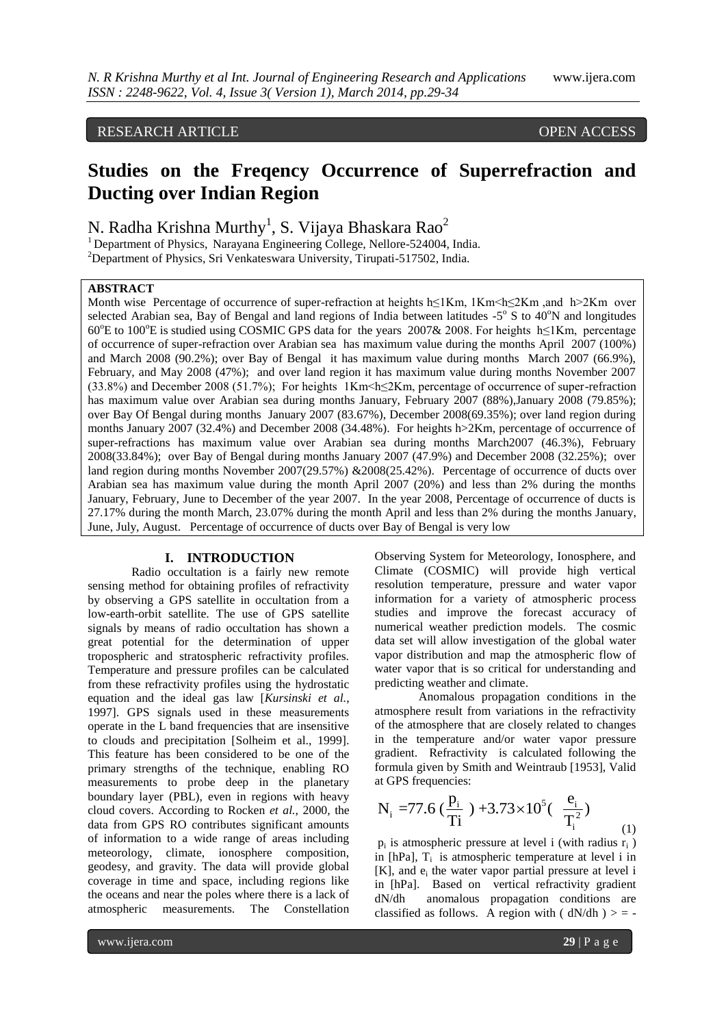# RESEARCH ARTICLE OPEN ACCESS

# **Studies on the Freqency Occurrence of Superrefraction and Ducting over Indian Region**

N. Radha Krishna Murthy $^1$ , S. Vijaya Bhaskara Rao $^2$ 

<sup>1</sup> Department of Physics, Narayana Engineering College, Nellore-524004, India. <sup>2</sup>Department of Physics, Sri Venkateswara University, Tirupati-517502, India.

## **ABSTRACT**

Month wise Percentage of occurrence of super-refraction at heights h≤1Km, 1Km<h≤2Km ,and h>2Km over selected Arabian sea, Bay of Bengal and land regions of India between latitudes  $-5^\circ$  S to  $40^\circ$ N and longitudes 60°E to 100°E is studied using COSMIC GPS data for the years 2007& 2008. For heights h≤1Km, percentage of occurrence of super-refraction over Arabian sea has maximum value during the months April 2007 (100%) and March 2008 (90.2%); over Bay of Bengal it has maximum value during months March 2007 (66.9%), February, and May 2008 (47%); and over land region it has maximum value during months November 2007 (33.8%) and December 2008 (51.7%); For heights 1Km<h≤2Km, percentage of occurrence of super-refraction has maximum value over Arabian sea during months January, February 2007 (88%),January 2008 (79.85%); over Bay Of Bengal during months January 2007 (83.67%), December 2008(69.35%); over land region during months January 2007 (32.4%) and December 2008 (34.48%). For heights h>2Km, percentage of occurrence of super-refractions has maximum value over Arabian sea during months March2007 (46.3%), February 2008(33.84%); over Bay of Bengal during months January 2007 (47.9%) and December 2008 (32.25%); over land region during months November 2007(29.57%) &2008(25.42%). Percentage of occurrence of ducts over Arabian sea has maximum value during the month April 2007 (20%) and less than 2% during the months January, February, June to December of the year 2007. In the year 2008, Percentage of occurrence of ducts is 27.17% during the month March, 23.07% during the month April and less than 2% during the months January, June, July, August. Percentage of occurrence of ducts over Bay of Bengal is very low

#### **I. INTRODUCTION**

Radio occultation is a fairly new remote sensing method for obtaining profiles of refractivity by observing a GPS satellite in occultation from a low-earth-orbit satellite. The use of GPS satellite signals by means of radio occultation has shown a great potential for the determination of upper tropospheric and stratospheric refractivity profiles. Temperature and pressure profiles can be calculated from these refractivity profiles using the hydrostatic equation and the ideal gas law [*Kursinski et al.*, 1997]. GPS signals used in these measurements operate in the L band frequencies that are insensitive to clouds and precipitation [Solheim et al., 1999]. This feature has been considered to be one of the primary strengths of the technique, enabling RO measurements to probe deep in the planetary boundary layer (PBL), even in regions with heavy cloud covers. According to Rocken *et al.*, 2000*,* the data from GPS RO contributes significant amounts of information to a wide range of areas including meteorology, climate, ionosphere composition, geodesy, and gravity. The data will provide global coverage in time and space, including regions like the oceans and near the poles where there is a lack of atmospheric measurements. The Constellation Observing System for Meteorology, Ionosphere, and Climate (COSMIC) will provide high vertical resolution temperature, pressure and water vapor information for a variety of atmospheric process studies and improve the forecast accuracy of numerical weather prediction models. The cosmic data set will allow investigation of the global water vapor distribution and map the atmospheric flow of water vapor that is so critical for understanding and predicting weather and climate.

Anomalous propagation conditions in the atmosphere result from variations in the refractivity of the atmosphere that are closely related to changes in the temperature and/or water vapor pressure gradient. Refractivity is calculated following the formula given by Smith and Weintraub [1953], Valid

at GPS frequencies:  
\n
$$
N_i = 77.6 \left( \frac{p_i}{Ti} \right) + 3.73 \times 10^5 \left( \frac{e_i}{T_i^2} \right)
$$
 (1)

 $p_i$  is atmospheric pressure at level i (with radius  $r_i$ ) in [hPa],  $T_i$  is atmospheric temperature at level i in [K], and  $e_i$  the water vapor partial pressure at level i in [hPa]. Based on vertical refractivity gradient dN/dh anomalous propagation conditions are classified as follows. A region with ( $dN/dh$ ) > = -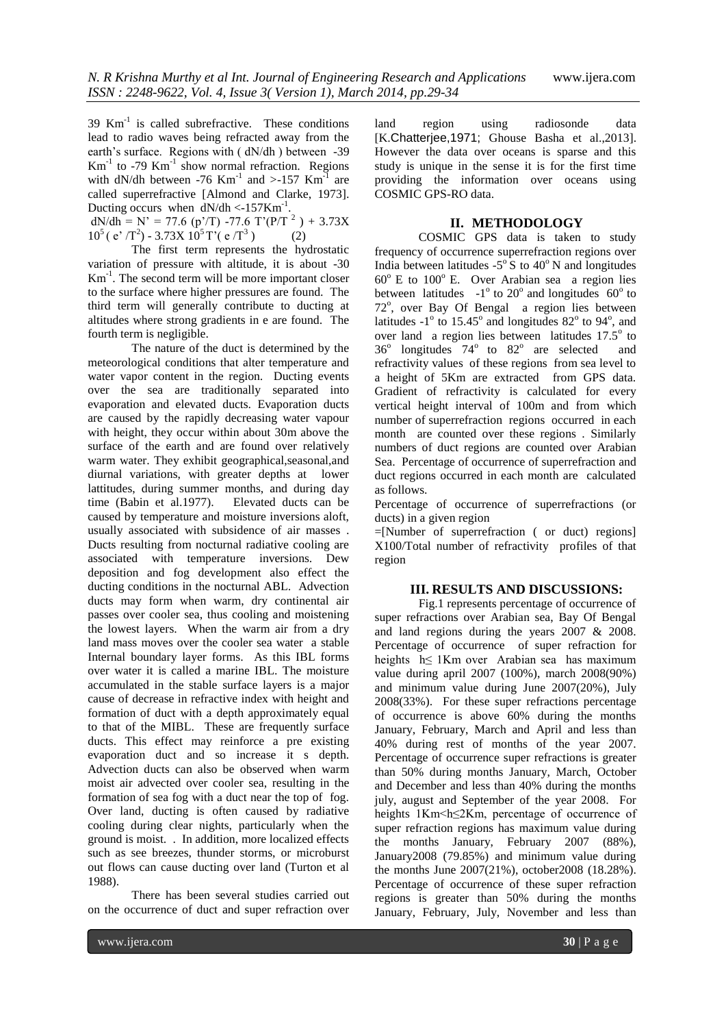$39$  Km<sup>-1</sup> is called subrefractive. These conditions lead to radio waves being refracted away from the earth's surface. Regions with ( dN/dh ) between -39  $Km^{-1}$  to -79  $Km^{-1}$  show normal refraction. Regions with dN/dh between -76 Km<sup>-1</sup> and >-157 Km<sup>-1</sup> are called superrefractive [Almond and Clarke, 1973]. Ducting occurs when  $dN/dh < -157Km^{-1}$ .

 $dN/dh = N' = 77.6$  (p'/T) -77.6 T'(P/T<sup>2</sup>) + 3.73X  $10^5$  (e'  $\pi$ <sup>2</sup>) - 3.73X  $10^5$  T' (e $\pi$ <sup>3</sup> ) (2)

The first term represents the hydrostatic variation of pressure with altitude, it is about -30 Km-1 . The second term will be more important closer to the surface where higher pressures are found. The third term will generally contribute to ducting at altitudes where strong gradients in e are found. The fourth term is negligible.

The nature of the duct is determined by the meteorological conditions that alter temperature and water vapor content in the region. Ducting events over the sea are traditionally separated into evaporation and elevated ducts. Evaporation ducts are caused by the rapidly decreasing water vapour with height, they occur within about 30m above the surface of the earth and are found over relatively warm water. They exhibit geographical, seasonal, and diurnal variations, with greater depths at lower lattitudes, during summer months, and during day time (Babin et al.1977). Elevated ducts can be caused by temperature and moisture inversions aloft, usually associated with subsidence of air masses . Ducts resulting from nocturnal radiative cooling are associated with temperature inversions. Dew deposition and fog development also effect the ducting conditions in the nocturnal ABL. Advection ducts may form when warm, dry continental air passes over cooler sea, thus cooling and moistening the lowest layers. When the warm air from a dry land mass moves over the cooler sea water a stable Internal boundary layer forms. As this IBL forms over water it is called a marine IBL. The moisture accumulated in the stable surface layers is a major cause of decrease in refractive index with height and formation of duct with a depth approximately equal to that of the MIBL. These are frequently surface ducts. This effect may reinforce a pre existing evaporation duct and so increase it s depth. Advection ducts can also be observed when warm moist air advected over cooler sea, resulting in the formation of sea fog with a duct near the top of fog. Over land, ducting is often caused by radiative cooling during clear nights, particularly when the ground is moist. . In addition, more localized effects such as see breezes, thunder storms, or microburst out flows can cause ducting over land (Turton et al 1988).

There has been several studies carried out on the occurrence of duct and super refraction over land region using radiosonde data [K.Chatterjee,1971; Ghouse Basha et al.,2013]. However the data over oceans is sparse and this study is unique in the sense it is for the first time providing the information over oceans using COSMIC GPS-RO data.

### **II. METHODOLOGY**

COSMIC GPS data is taken to study frequency of occurrence superrefraction regions over India between latitudes  $-5^\circ$  S to 40°N and longitudes  $60^{\circ}$  E to  $100^{\circ}$  E. Over Arabian sea a region lies between latitudes  $-1^\circ$  to 20° and longitudes 60° to 72°, over Bay Of Bengal a region lies between latitudes  $-1^\circ$  to  $15.45^\circ$  and longitudes  $82^\circ$  to  $94^\circ$ , and over land a region lies between latitudes  $17.5^\circ$  to  $36^{\circ}$  longitudes  $74^{\circ}$  to  $82^{\circ}$  are selected and refractivity values of these regions from sea level to a height of 5Km are extracted from GPS data. Gradient of refractivity is calculated for every vertical height interval of 100m and from which number of superrefraction regions occurred in each month are counted over these regions . Similarly numbers of duct regions are counted over Arabian Sea. Percentage of occurrence of superrefraction and duct regions occurred in each month are calculated as follows.

Percentage of occurrence of superrefractions (or ducts) in a given region

=[Number of superrefraction ( or duct) regions] X100/Total number of refractivity profiles of that region

#### **III. RESULTS AND DISCUSSIONS:**

Fig.1 represents percentage of occurrence of super refractions over Arabian sea, Bay Of Bengal and land regions during the years 2007 & 2008. Percentage of occurrence of super refraction for heights h≤ 1Km over Arabian sea has maximum value during april 2007 (100%), march 2008(90%) and minimum value during June 2007(20%), July 2008(33%). For these super refractions percentage of occurrence is above 60% during the months January, February, March and April and less than 40% during rest of months of the year 2007. Percentage of occurrence super refractions is greater than 50% during months January, March, October and December and less than 40% during the months july, august and September of the year 2008. For heights 1Km<h≤2Km, percentage of occurrence of super refraction regions has maximum value during the months January, February 2007 (88%), January2008 (79.85%) and minimum value during the months June 2007(21%), october2008 (18.28%). Percentage of occurrence of these super refraction regions is greater than 50% during the months January, February, July, November and less than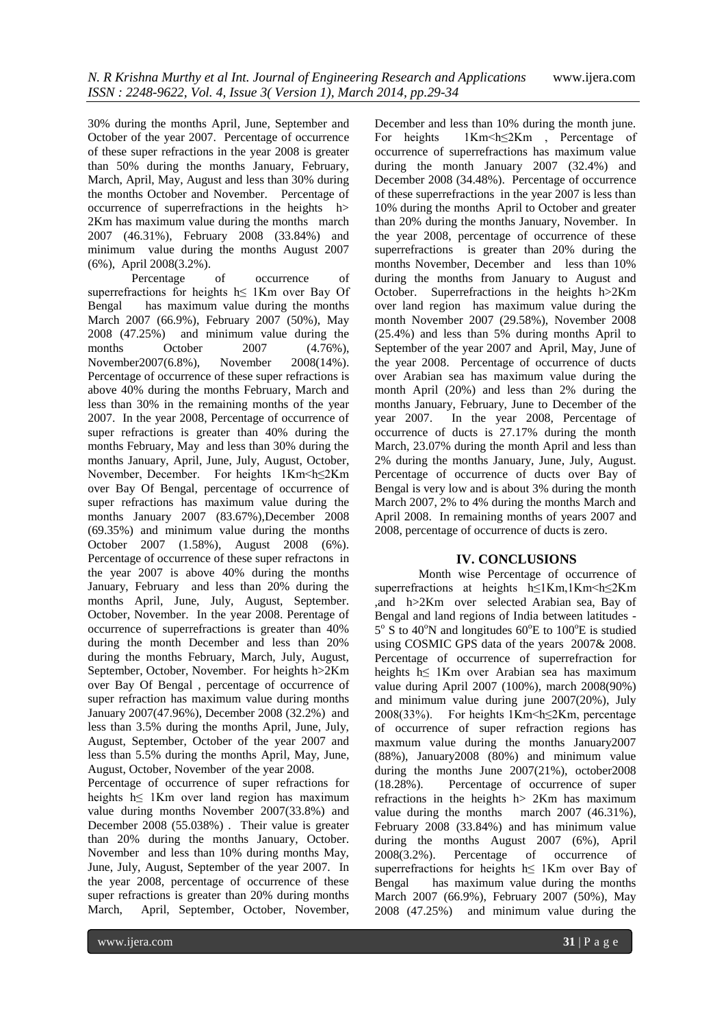30% during the months April, June, September and October of the year 2007. Percentage of occurrence of these super refractions in the year 2008 is greater than 50% during the months January, February, March, April, May, August and less than 30% during the months October and November. Percentage of occurrence of superrefractions in the heights h> 2Km has maximum value during the months march 2007 (46.31%), February 2008 (33.84%) and minimum value during the months August 2007 (6%), April 2008(3.2%).

Percentage of occurrence of superrefractions for heights h≤ 1Km over Bay Of Bengal has maximum value during the months March 2007 (66.9%), February 2007 (50%), May 2008 (47.25%) and minimum value during the months October 2007 (4.76%), November2007(6.8%), November 2008(14%). Percentage of occurrence of these super refractions is above 40% during the months February, March and less than 30% in the remaining months of the year 2007. In the year 2008, Percentage of occurrence of super refractions is greater than 40% during the months February, May and less than 30% during the months January, April, June, July, August, October, November, December. For heights 1Km<h≤2Km over Bay Of Bengal, percentage of occurrence of super refractions has maximum value during the months January 2007 (83.67%),December 2008 (69.35%) and minimum value during the months October 2007 (1.58%), August 2008 (6%). Percentage of occurrence of these super refractons in the year 2007 is above 40% during the months January, February and less than 20% during the months April, June, July, August, September. October, November. In the year 2008. Perentage of occurrence of superrefractions is greater than 40% during the month December and less than 20% during the months February, March, July, August, September, October, November. For heights h>2Km over Bay Of Bengal , percentage of occurrence of super refraction has maximum value during months January 2007(47.96%), December 2008 (32.2%) and less than 3.5% during the months April, June, July, August, September, October of the year 2007 and less than 5.5% during the months April, May, June, August, October, November of the year 2008.

Percentage of occurrence of super refractions for heights h≤ 1Km over land region has maximum value during months November 2007(33.8%) and December 2008 (55.038%) . Their value is greater than 20% during the months January, October. November and less than 10% during months May, June, July, August, September of the year 2007. In the year 2008, percentage of occurrence of these super refractions is greater than 20% during months March, April, September, October, November, December and less than 10% during the month june. For heights 1Km<h≤2Km , Percentage of occurrence of superrefractions has maximum value during the month January 2007 (32.4%) and December 2008 (34.48%). Percentage of occurrence of these superrefractions in the year 2007 is less than 10% during the months April to October and greater than 20% during the months January, November. In the year 2008, percentage of occurrence of these superrefractions is greater than 20% during the months November, December and less than 10% during the months from January to August and October. Superrefractions in the heights h>2Km over land region has maximum value during the month November 2007 (29.58%), November 2008 (25.4%) and less than 5% during months April to September of the year 2007 and April, May, June of the year 2008. Percentage of occurrence of ducts over Arabian sea has maximum value during the month April (20%) and less than 2% during the months January, February, June to December of the year 2007. In the year 2008, Percentage of occurrence of ducts is 27.17% during the month March, 23.07% during the month April and less than 2% during the months January, June, July, August. Percentage of occurrence of ducts over Bay of Bengal is very low and is about 3% during the month March 2007, 2% to 4% during the months March and April 2008. In remaining months of years 2007 and 2008, percentage of occurrence of ducts is zero.

## **IV. CONCLUSIONS**

Month wise Percentage of occurrence of superrefractions at heights h≤1Km,1Km<h≤2Km ,and h>2Km over selected Arabian sea, Bay of Bengal and land regions of India between latitudes - 5° S to 40°N and longitudes 60°E to 100°E is studied using COSMIC GPS data of the years 2007& 2008. Percentage of occurrence of superrefraction for heights h≤ 1Km over Arabian sea has maximum value during April 2007 (100%), march 2008(90%) and minimum value during june 2007(20%), July 2008(33%). For heights 1Km<h≤2Km, percentage of occurrence of super refraction regions has maxmum value during the months January2007 (88%), January2008 (80%) and minimum value during the months June 2007(21%), october2008 (18.28%). Percentage of occurrence of super refractions in the heights  $h$  > 2Km has maximum value during the months march 2007 (46.31%), value during the months February 2008 (33.84%) and has minimum value during the months August 2007 (6%), April 2008(3.2%). Percentage of occurrence of superrefractions for heights h≤ 1Km over Bay of Bengal has maximum value during the months March 2007 (66.9%), February 2007 (50%), May 2008 (47.25%) and minimum value during the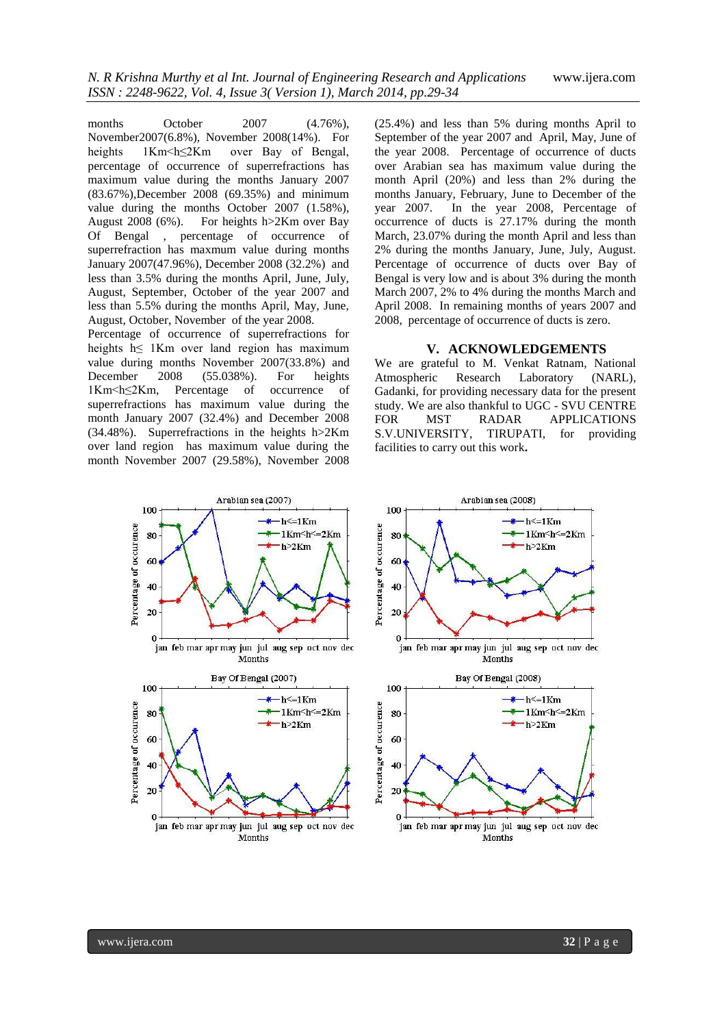months October 2007 (4.76%), November2007(6.8%), November 2008(14%). For heights 1Km<h≤2Km over Bay of Bengal, percentage of occurrence of superrefractions has maximum value during the months January 2007 (83.67%),December 2008 (69.35%) and minimum value during the months October 2007 (1.58%), August 2008 (6%). For heights h>2Km over Bay Of Bengal , percentage of occurrence of superrefraction has maxmum value during months January 2007(47.96%), December 2008 (32.2%) and less than 3.5% during the months April, June, July, August, September, October of the year 2007 and less than 5.5% during the months April, May, June, August, October, November of the year 2008.

Percentage of occurrence of superrefractions for heights h≤ 1Km over land region has maximum value during months November 2007(33.8%) and December 2008 (55.038%). For heights 1Km<h≤2Km, Percentage of occurrence of superrefractions has maximum value during the month January 2007 (32.4%) and December 2008 (34.48%). Superrefractions in the heights h>2Km over land region has maximum value during the month November 2007 (29.58%), November 2008

(25.4%) and less than 5% during months April to September of the year 2007 and April, May, June of the year 2008. Percentage of occurrence of ducts over Arabian sea has maximum value during the month April (20%) and less than 2% during the months January, February, June to December of the year 2007. In the year 2008, Percentage of occurrence of ducts is 27.17% during the month March, 23.07% during the month April and less than 2% during the months January, June, July, August. Percentage of occurrence of ducts over Bay of Bengal is very low and is about 3% during the month March 2007, 2% to 4% during the months March and April 2008. In remaining months of years 2007 and 2008, percentage of occurrence of ducts is zero.

#### **V. ACKNOWLEDGEMENTS**

We are grateful to M. Venkat Ratnam, National Atmospheric Research Laboratory (NARL), Gadanki, for providing necessary data for the present study. We are also thankful to UGC - SVU CENTRE FOR MST RADAR APPLICATIONS S.V.UNIVERSITY, TIRUPATI, for providing facilities to carry out this work**.**

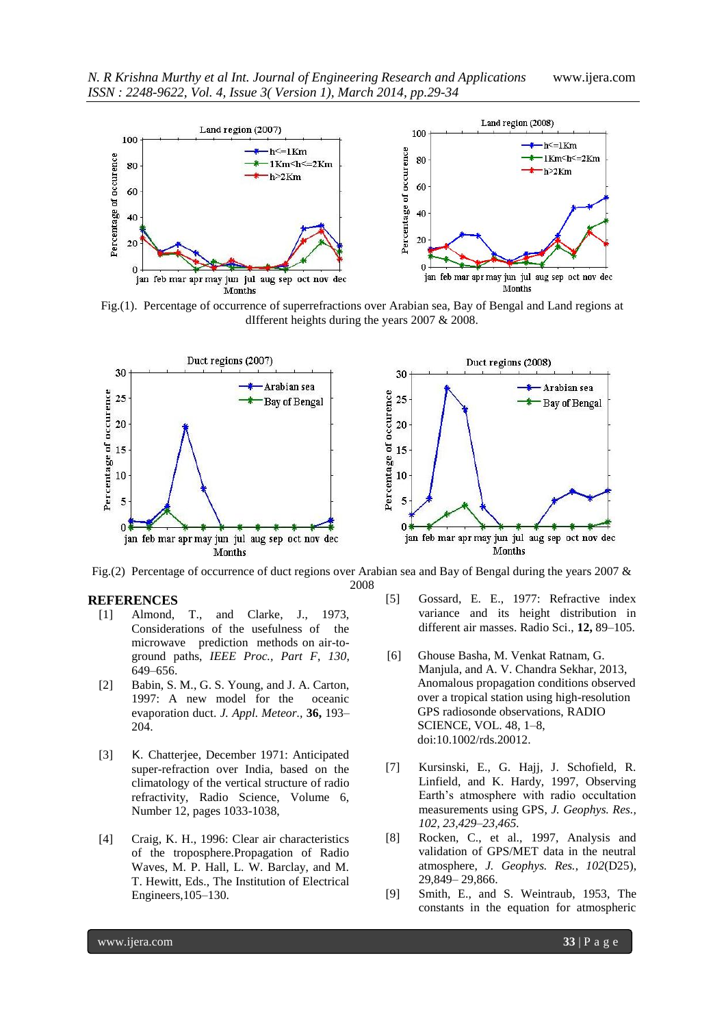

Fig.(1). Percentage of occurrence of superrefractions over Arabian sea, Bay of Bengal and Land regions at dIfferent heights during the years 2007 & 2008.



Fig.(2) Percentage of occurrence of duct regions over Arabian sea and Bay of Bengal during the years 2007 & 2008

#### **REFERENCES**

- [1] Almond, T., and Clarke, J., 1973, Considerations of the usefulness of the microwave prediction methods on air-toground paths, *IEEE Proc., Part F*, *130*, 649–656.
- [2] Babin, S. M., G. S. Young, and J. A. Carton, 1997: A new model for the oceanic evaporation duct. *J. Appl. Meteor.,* **36,** 193– 204.
- [3] K. Chatterjee, December 1971: Anticipated super-refraction over India, based on the climatology of the vertical structure of radio refractivity, Radio Science, Volume 6, Number 12, pages 1033-1038,
- [4] Craig, K. H., 1996: Clear air characteristics of the troposphere.Propagation of Radio Waves, M. P. Hall, L. W. Barclay, and M. T. Hewitt, Eds., The Institution of Electrical Engineers,105–130.
- [5] Gossard, E. E., 1977: Refractive index variance and its height distribution in different air masses. Radio Sci., **12,** 89–105.
- [6] Ghouse Basha, M. Venkat Ratnam, G. Manjula, and A. V. Chandra Sekhar, 2013, Anomalous propagation conditions observed over a tropical station using high-resolution GPS radiosonde observations, RADIO SCIENCE, VOL. 48, 1–8, doi:10.1002/rds.20012.
- [7] Kursinski, E., G. Hajj, J. Schofield, R. Linfield, and K. Hardy, 1997, Observing Earth's atmosphere with radio occultation measurements using GPS, *J. Geophys. Res., 102, 23,429–23,465.*
- [8] Rocken, C., et al., 1997, Analysis and validation of GPS/MET data in the neutral atmosphere, *J. Geophys. Res.*, *102*(D25), 29,849– 29,866.
- [9] Smith, E., and S. Weintraub, 1953, The constants in the equation for atmospheric